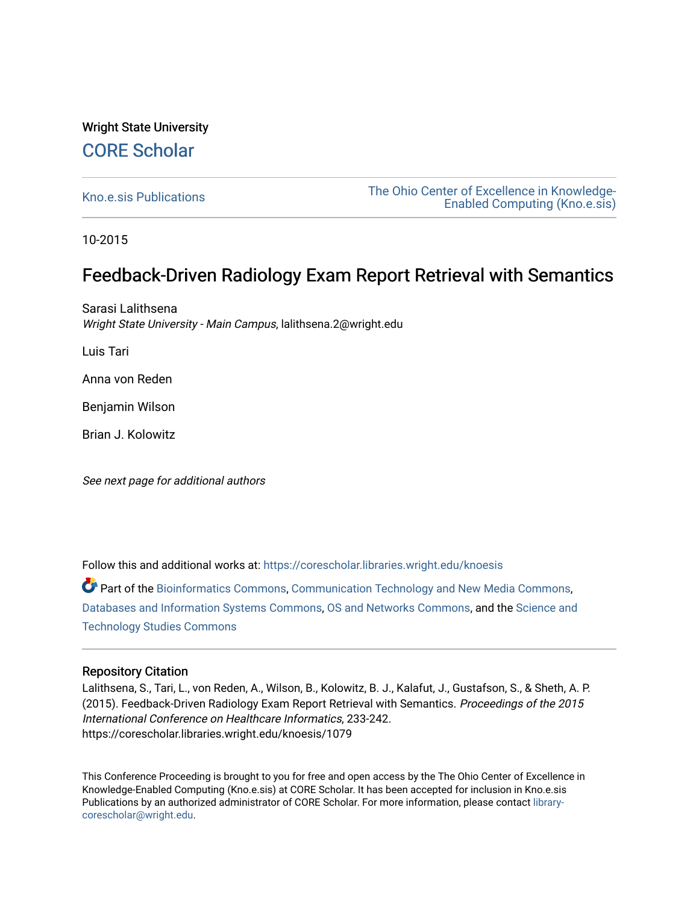## Wright State University [CORE Scholar](https://corescholar.libraries.wright.edu/)

[Kno.e.sis Publications](https://corescholar.libraries.wright.edu/knoesis) [The Ohio Center of Excellence in Knowledge-](https://corescholar.libraries.wright.edu/knoesis_comm)[Enabled Computing \(Kno.e.sis\)](https://corescholar.libraries.wright.edu/knoesis_comm) 

10-2015

# Feedback-Driven Radiology Exam Report Retrieval with Semantics

Sarasi Lalithsena Wright State University - Main Campus, lalithsena.2@wright.edu

Luis Tari

Anna von Reden

Benjamin Wilson

Brian J. Kolowitz

See next page for additional authors

Follow this and additional works at: [https://corescholar.libraries.wright.edu/knoesis](https://corescholar.libraries.wright.edu/knoesis?utm_source=corescholar.libraries.wright.edu%2Fknoesis%2F1079&utm_medium=PDF&utm_campaign=PDFCoverPages) 

Part of the [Bioinformatics Commons,](http://network.bepress.com/hgg/discipline/110?utm_source=corescholar.libraries.wright.edu%2Fknoesis%2F1079&utm_medium=PDF&utm_campaign=PDFCoverPages) [Communication Technology and New Media Commons,](http://network.bepress.com/hgg/discipline/327?utm_source=corescholar.libraries.wright.edu%2Fknoesis%2F1079&utm_medium=PDF&utm_campaign=PDFCoverPages) [Databases and Information Systems Commons](http://network.bepress.com/hgg/discipline/145?utm_source=corescholar.libraries.wright.edu%2Fknoesis%2F1079&utm_medium=PDF&utm_campaign=PDFCoverPages), [OS and Networks Commons](http://network.bepress.com/hgg/discipline/149?utm_source=corescholar.libraries.wright.edu%2Fknoesis%2F1079&utm_medium=PDF&utm_campaign=PDFCoverPages), and the [Science and](http://network.bepress.com/hgg/discipline/435?utm_source=corescholar.libraries.wright.edu%2Fknoesis%2F1079&utm_medium=PDF&utm_campaign=PDFCoverPages) [Technology Studies Commons](http://network.bepress.com/hgg/discipline/435?utm_source=corescholar.libraries.wright.edu%2Fknoesis%2F1079&utm_medium=PDF&utm_campaign=PDFCoverPages) 

## Repository Citation

Lalithsena, S., Tari, L., von Reden, A., Wilson, B., Kolowitz, B. J., Kalafut, J., Gustafson, S., & Sheth, A. P. (2015). Feedback-Driven Radiology Exam Report Retrieval with Semantics. Proceedings of the 2015 International Conference on Healthcare Informatics, 233-242. https://corescholar.libraries.wright.edu/knoesis/1079

This Conference Proceeding is brought to you for free and open access by the The Ohio Center of Excellence in Knowledge-Enabled Computing (Kno.e.sis) at CORE Scholar. It has been accepted for inclusion in Kno.e.sis Publications by an authorized administrator of CORE Scholar. For more information, please contact [library](mailto:library-corescholar@wright.edu)[corescholar@wright.edu](mailto:library-corescholar@wright.edu).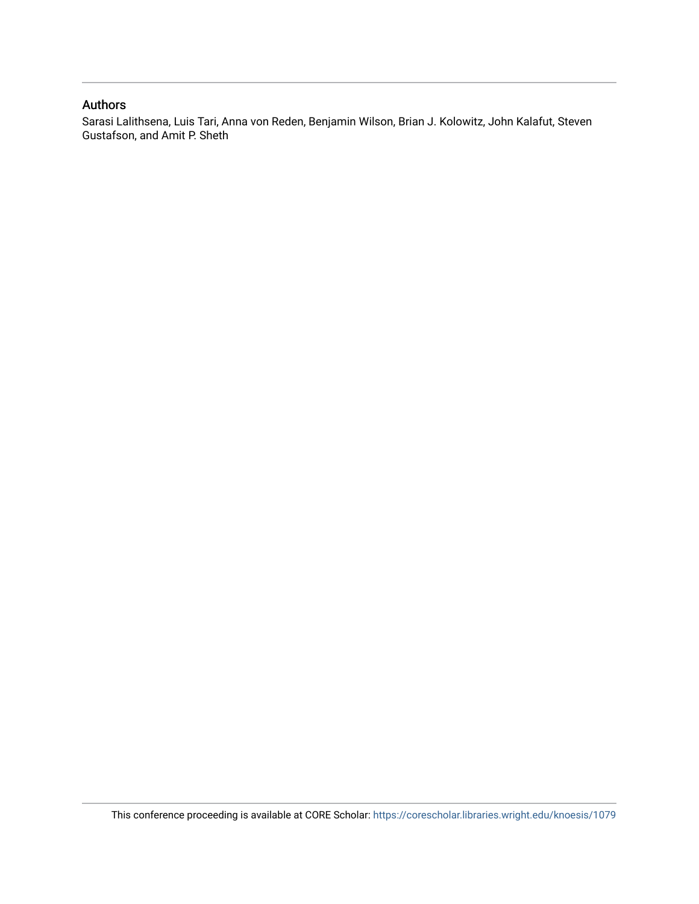## Authors

Sarasi Lalithsena, Luis Tari, Anna von Reden, Benjamin Wilson, Brian J. Kolowitz, John Kalafut, Steven Gustafson, and Amit P. Sheth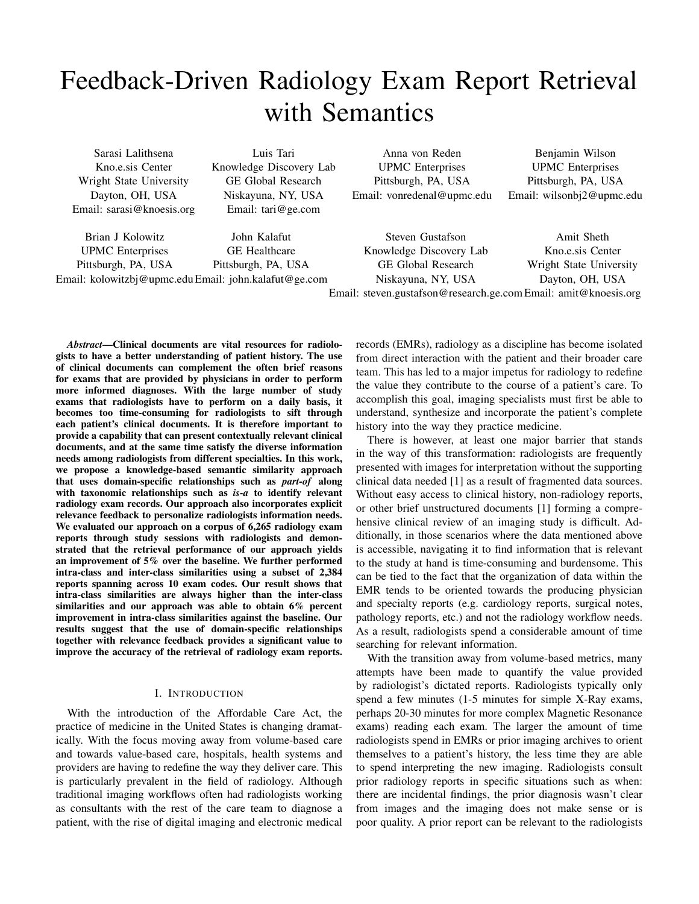# Feedback-Driven Radiology Exam Report Retrieval with Semantics

Sarasi Lalithsena Kno.e.sis Center Wright State University Dayton, OH, USA Email: sarasi@knoesis.org

Brian J Kolowitz UPMC Enterprises Pittsburgh, PA, USA

Luis Tari Knowledge Discovery Lab GE Global Research Niskayuna, NY, USA Email: tari@ge.com

John Kalafut GE Healthcare Pittsburgh, PA, USA

Anna von Reden UPMC Enterprises Pittsburgh, PA, USA Email: vonredenal@upmc.edu

Steven Gustafson Knowledge Discovery Lab GE Global Research Niskayuna, NY, USA

Benjamin Wilson UPMC Enterprises Pittsburgh, PA, USA Email: wilsonbj2@upmc.edu

> Amit Sheth Kno.e.sis Center Wright State University Dayton, OH, USA

Email: steven.gustafson@research.ge.com Email: amit@knoesis.org

*Abstract*—Clinical documents are vital resources for radiologists to have a better understanding of patient history. The use of clinical documents can complement the often brief reasons for exams that are provided by physicians in order to perform more informed diagnoses. With the large number of study exams that radiologists have to perform on a daily basis, it becomes too time-consuming for radiologists to sift through each patient's clinical documents. It is therefore important to provide a capability that can present contextually relevant clinical documents, and at the same time satisfy the diverse information needs among radiologists from different specialties. In this work, we propose a knowledge-based semantic similarity approach that uses domain-specific relationships such as *part-of* along with taxonomic relationships such as *is-a* to identify relevant radiology exam records. Our approach also incorporates explicit relevance feedback to personalize radiologists information needs. We evaluated our approach on a corpus of 6,265 radiology exam reports through study sessions with radiologists and demonstrated that the retrieval performance of our approach yields an improvement of 5% over the baseline. We further performed intra-class and inter-class similarities using a subset of 2,384 reports spanning across 10 exam codes. Our result shows that intra-class similarities are always higher than the inter-class similarities and our approach was able to obtain 6% percent improvement in intra-class similarities against the baseline. Our results suggest that the use of domain-specific relationships together with relevance feedback provides a significant value to improve the accuracy of the retrieval of radiology exam reports.

Email: kolowitzbj@upmc.edu Email: john.kalafut@ge.com

#### I. INTRODUCTION

With the introduction of the Affordable Care Act, the practice of medicine in the United States is changing dramatically. With the focus moving away from volume-based care and towards value-based care, hospitals, health systems and providers are having to redefine the way they deliver care. This is particularly prevalent in the field of radiology. Although traditional imaging workflows often had radiologists working as consultants with the rest of the care team to diagnose a patient, with the rise of digital imaging and electronic medical

records (EMRs), radiology as a discipline has become isolated from direct interaction with the patient and their broader care team. This has led to a major impetus for radiology to redefine the value they contribute to the course of a patient's care. To accomplish this goal, imaging specialists must first be able to understand, synthesize and incorporate the patient's complete history into the way they practice medicine.

There is however, at least one major barrier that stands in the way of this transformation: radiologists are frequently presented with images for interpretation without the supporting clinical data needed [1] as a result of fragmented data sources. Without easy access to clinical history, non-radiology reports, or other brief unstructured documents [1] forming a comprehensive clinical review of an imaging study is difficult. Additionally, in those scenarios where the data mentioned above is accessible, navigating it to find information that is relevant to the study at hand is time-consuming and burdensome. This can be tied to the fact that the organization of data within the EMR tends to be oriented towards the producing physician and specialty reports (e.g. cardiology reports, surgical notes, pathology reports, etc.) and not the radiology workflow needs. As a result, radiologists spend a considerable amount of time searching for relevant information.

With the transition away from volume-based metrics, many attempts have been made to quantify the value provided by radiologist's dictated reports. Radiologists typically only spend a few minutes (1-5 minutes for simple X-Ray exams, perhaps 20-30 minutes for more complex Magnetic Resonance exams) reading each exam. The larger the amount of time radiologists spend in EMRs or prior imaging archives to orient themselves to a patient's history, the less time they are able to spend interpreting the new imaging. Radiologists consult prior radiology reports in specific situations such as when: there are incidental findings, the prior diagnosis wasn't clear from images and the imaging does not make sense or is poor quality. A prior report can be relevant to the radiologists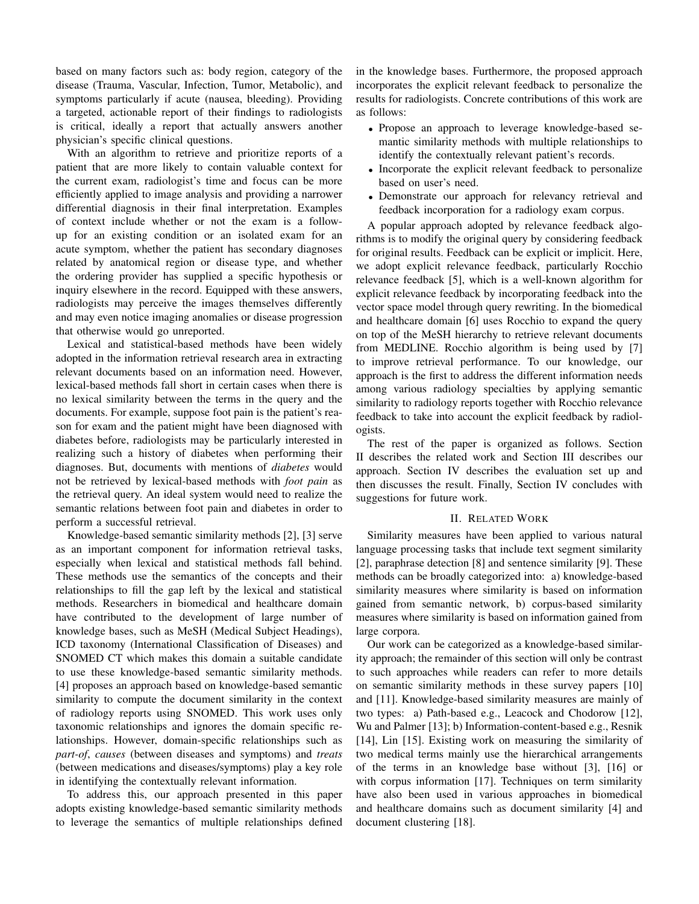based on many factors such as: body region, category of the disease (Trauma, Vascular, Infection, Tumor, Metabolic), and symptoms particularly if acute (nausea, bleeding). Providing a targeted, actionable report of their findings to radiologists is critical, ideally a report that actually answers another physician's specific clinical questions.

With an algorithm to retrieve and prioritize reports of a patient that are more likely to contain valuable context for the current exam, radiologist's time and focus can be more efficiently applied to image analysis and providing a narrower differential diagnosis in their final interpretation. Examples of context include whether or not the exam is a followup for an existing condition or an isolated exam for an acute symptom, whether the patient has secondary diagnoses related by anatomical region or disease type, and whether the ordering provider has supplied a specific hypothesis or inquiry elsewhere in the record. Equipped with these answers, radiologists may perceive the images themselves differently and may even notice imaging anomalies or disease progression that otherwise would go unreported.

Lexical and statistical-based methods have been widely adopted in the information retrieval research area in extracting relevant documents based on an information need. However, lexical-based methods fall short in certain cases when there is no lexical similarity between the terms in the query and the documents. For example, suppose foot pain is the patient's reason for exam and the patient might have been diagnosed with diabetes before, radiologists may be particularly interested in realizing such a history of diabetes when performing their diagnoses. But, documents with mentions of *diabetes* would not be retrieved by lexical-based methods with *foot pain* as the retrieval query. An ideal system would need to realize the semantic relations between foot pain and diabetes in order to perform a successful retrieval.

Knowledge-based semantic similarity methods [2], [3] serve as an important component for information retrieval tasks, especially when lexical and statistical methods fall behind. These methods use the semantics of the concepts and their relationships to fill the gap left by the lexical and statistical methods. Researchers in biomedical and healthcare domain have contributed to the development of large number of knowledge bases, such as MeSH (Medical Subject Headings), ICD taxonomy (International Classification of Diseases) and SNOMED CT which makes this domain a suitable candidate to use these knowledge-based semantic similarity methods. [4] proposes an approach based on knowledge-based semantic similarity to compute the document similarity in the context of radiology reports using SNOMED. This work uses only taxonomic relationships and ignores the domain specific relationships. However, domain-specific relationships such as *part-of*, *causes* (between diseases and symptoms) and *treats* (between medications and diseases/symptoms) play a key role in identifying the contextually relevant information.

To address this, our approach presented in this paper adopts existing knowledge-based semantic similarity methods to leverage the semantics of multiple relationships defined in the knowledge bases. Furthermore, the proposed approach incorporates the explicit relevant feedback to personalize the results for radiologists. Concrete contributions of this work are as follows:

- Propose an approach to leverage knowledge-based semantic similarity methods with multiple relationships to identify the contextually relevant patient's records.
- Incorporate the explicit relevant feedback to personalize based on user's need.
- Demonstrate our approach for relevancy retrieval and feedback incorporation for a radiology exam corpus.

A popular approach adopted by relevance feedback algorithms is to modify the original query by considering feedback for original results. Feedback can be explicit or implicit. Here, we adopt explicit relevance feedback, particularly Rocchio relevance feedback [5], which is a well-known algorithm for explicit relevance feedback by incorporating feedback into the vector space model through query rewriting. In the biomedical and healthcare domain [6] uses Rocchio to expand the query on top of the MeSH hierarchy to retrieve relevant documents from MEDLINE. Rocchio algorithm is being used by [7] to improve retrieval performance. To our knowledge, our approach is the first to address the different information needs among various radiology specialties by applying semantic similarity to radiology reports together with Rocchio relevance feedback to take into account the explicit feedback by radiologists.

The rest of the paper is organized as follows. Section II describes the related work and Section III describes our approach. Section IV describes the evaluation set up and then discusses the result. Finally, Section IV concludes with suggestions for future work.

#### II. RELATED WORK

Similarity measures have been applied to various natural language processing tasks that include text segment similarity [2], paraphrase detection [8] and sentence similarity [9]. These methods can be broadly categorized into: a) knowledge-based similarity measures where similarity is based on information gained from semantic network, b) corpus-based similarity measures where similarity is based on information gained from large corpora.

Our work can be categorized as a knowledge-based similarity approach; the remainder of this section will only be contrast to such approaches while readers can refer to more details on semantic similarity methods in these survey papers [10] and [11]. Knowledge-based similarity measures are mainly of two types: a) Path-based e.g., Leacock and Chodorow [12], Wu and Palmer [13]; b) Information-content-based e.g., Resnik [14], Lin [15]. Existing work on measuring the similarity of two medical terms mainly use the hierarchical arrangements of the terms in an knowledge base without [3], [16] or with corpus information [17]. Techniques on term similarity have also been used in various approaches in biomedical and healthcare domains such as document similarity [4] and document clustering [18].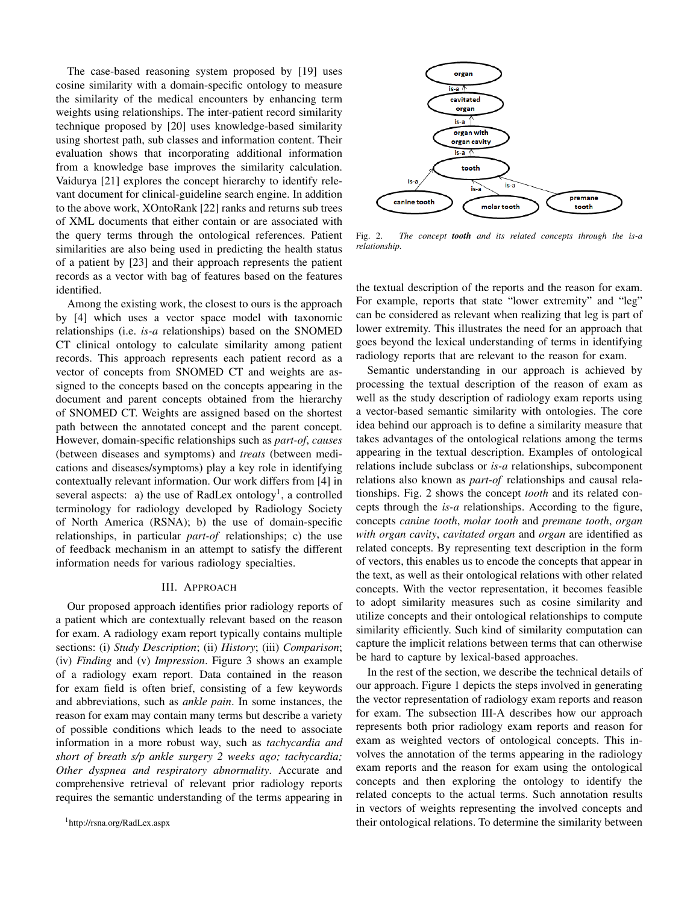The case-based reasoning system proposed by [19] uses cosine similarity with a domain-specific ontology to measure the similarity of the medical encounters by enhancing term weights using relationships. The inter-patient record similarity technique proposed by [20] uses knowledge-based similarity using shortest path, sub classes and information content. Their evaluation shows that incorporating additional information from a knowledge base improves the similarity calculation. Vaidurya [21] explores the concept hierarchy to identify relevant document for clinical-guideline search engine. In addition to the above work, XOntoRank [22] ranks and returns sub trees of XML documents that either contain or are associated with the query terms through the ontological references. Patient similarities are also being used in predicting the health status of a patient by [23] and their approach represents the patient records as a vector with bag of features based on the features identified.

Among the existing work, the closest to ours is the approach by [4] which uses a vector space model with taxonomic relationships (i.e. *is-a* relationships) based on the SNOMED CT clinical ontology to calculate similarity among patient records. This approach represents each patient record as a vector of concepts from SNOMED CT and weights are assigned to the concepts based on the concepts appearing in the document and parent concepts obtained from the hierarchy of SNOMED CT. Weights are assigned based on the shortest path between the annotated concept and the parent concept. However, domain-specific relationships such as *part-of*, *causes* (between diseases and symptoms) and *treats* (between medications and diseases/symptoms) play a key role in identifying contextually relevant information. Our work differs from [4] in several aspects: a) the use of RadLex ontology<sup>1</sup>, a controlled terminology for radiology developed by Radiology Society of North America (RSNA); b) the use of domain-specific relationships, in particular *part-of* relationships; c) the use of feedback mechanism in an attempt to satisfy the different information needs for various radiology specialties.

#### III. APPROACH

Our proposed approach identifies prior radiology reports of a patient which are contextually relevant based on the reason for exam. A radiology exam report typically contains multiple sections: (i) *Study Description*; (ii) *History*; (iii) *Comparison*; (iv) *Finding* and (v) *Impression*. Figure 3 shows an example of a radiology exam report. Data contained in the reason for exam field is often brief, consisting of a few keywords and abbreviations, such as *ankle pain*. In some instances, the reason for exam may contain many terms but describe a variety of possible conditions which leads to the need to associate information in a more robust way, such as *tachycardia and short of breath s/p ankle surgery 2 weeks ago; tachycardia; Other dyspnea and respiratory abnormality*. Accurate and comprehensive retrieval of relevant prior radiology reports requires the semantic understanding of the terms appearing in



Fig. 2. *The concept tooth and its related concepts through the is-a relationship.*

the textual description of the reports and the reason for exam. For example, reports that state "lower extremity" and "leg" can be considered as relevant when realizing that leg is part of lower extremity. This illustrates the need for an approach that goes beyond the lexical understanding of terms in identifying radiology reports that are relevant to the reason for exam.

Semantic understanding in our approach is achieved by processing the textual description of the reason of exam as well as the study description of radiology exam reports using a vector-based semantic similarity with ontologies. The core idea behind our approach is to define a similarity measure that takes advantages of the ontological relations among the terms appearing in the textual description. Examples of ontological relations include subclass or *is-a* relationships, subcomponent relations also known as *part-of* relationships and causal relationships. Fig. 2 shows the concept *tooth* and its related concepts through the *is-a* relationships. According to the figure, concepts *canine tooth*, *molar tooth* and *premane tooth*, *organ with organ cavity*, *cavitated organ* and *organ* are identified as related concepts. By representing text description in the form of vectors, this enables us to encode the concepts that appear in the text, as well as their ontological relations with other related concepts. With the vector representation, it becomes feasible to adopt similarity measures such as cosine similarity and utilize concepts and their ontological relationships to compute similarity efficiently. Such kind of similarity computation can capture the implicit relations between terms that can otherwise be hard to capture by lexical-based approaches.

In the rest of the section, we describe the technical details of our approach. Figure 1 depicts the steps involved in generating the vector representation of radiology exam reports and reason for exam. The subsection III-A describes how our approach represents both prior radiology exam reports and reason for exam as weighted vectors of ontological concepts. This involves the annotation of the terms appearing in the radiology exam reports and the reason for exam using the ontological concepts and then exploring the ontology to identify the related concepts to the actual terms. Such annotation results in vectors of weights representing the involved concepts and their ontological relations. To determine the similarity between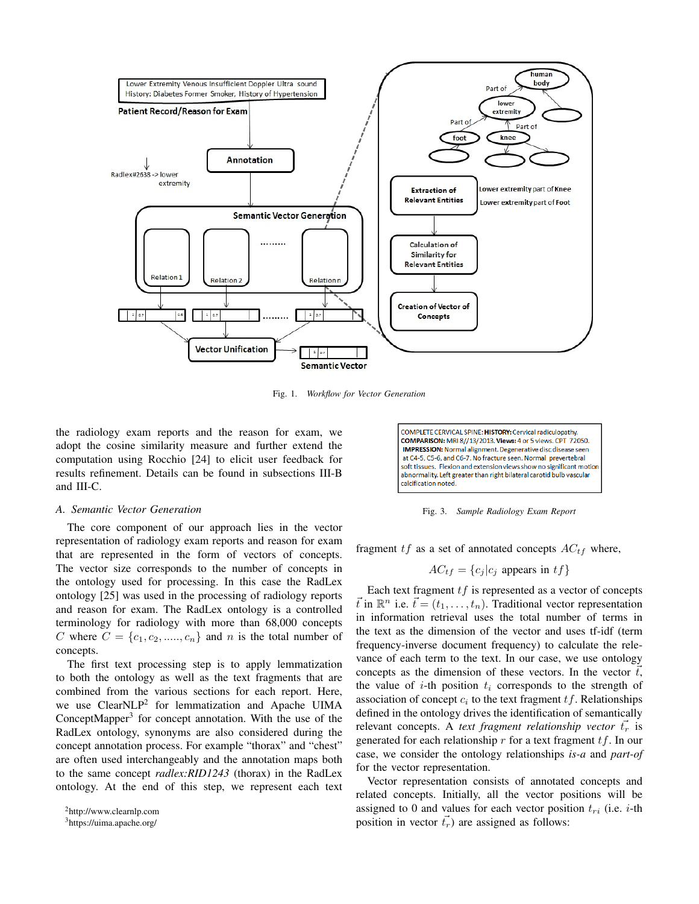

Fig. 1. *Workflow for Vector Generation*

the radiology exam reports and the reason for exam, we adopt the cosine similarity measure and further extend the computation using Rocchio [24] to elicit user feedback for results refinement. Details can be found in subsections III-B and III-C.

#### *A. Semantic Vector Generation*

The core component of our approach lies in the vector representation of radiology exam reports and reason for exam that are represented in the form of vectors of concepts. The vector size corresponds to the number of concepts in the ontology used for processing. In this case the RadLex ontology [25] was used in the processing of radiology reports and reason for exam. The RadLex ontology is a controlled terminology for radiology with more than 68,000 concepts C where  $C = \{c_1, c_2, \ldots, c_n\}$  and n is the total number of concepts.

The first text processing step is to apply lemmatization to both the ontology as well as the text fragments that are combined from the various sections for each report. Here, we use  $ClearNLP<sup>2</sup>$  for lemmatization and Apache UIMA ConceptMapper<sup>3</sup> for concept annotation. With the use of the RadLex ontology, synonyms are also considered during the concept annotation process. For example "thorax" and "chest" are often used interchangeably and the annotation maps both to the same concept *radlex:RID1243* (thorax) in the RadLex ontology. At the end of this step, we represent each text

<sup>3</sup>https://uima.apache.org/

COMPLETE CERVICAL SPINE: HISTORY: Cervical radiculopathy. **COMPARISON:** MRI 8//13/2013. Views: 4 or 5 views. CPT 72050. **IMPRESSION:** Normal alignment. Degenerative disc disease seen at C4-5, C5-6, and C6-7. No fracture seen. Normal prevertebral soft tissues. Flexion and extension views show no significant motio abnormality. Left greater than right bilateral carotid bulb vascular calcification noted.

Fig. 3. *Sample Radiology Exam Report*

fragment  $tf$  as a set of annotated concepts  $AC_{tf}$  where,

$$
AC_{tf} = \{c_j | c_j \text{ appears in } tf\}
$$

Each text fragment  $tf$  is represented as a vector of concepts  $\vec{t}$  in  $\mathbb{R}^n$  i.e.  $\vec{t} = (t_1, \ldots, t_n)$ . Traditional vector representation in information retrieval uses the total number of terms in the text as the dimension of the vector and uses tf-idf (term frequency-inverse document frequency) to calculate the relevance of each term to the text. In our case, we use ontology concepts as the dimension of these vectors. In the vector  $\vec{t}$ , the value of *i*-th position  $t_i$  corresponds to the strength of association of concept  $c_i$  to the text fragment  $tf$ . Relationships defined in the ontology drives the identification of semantically relevant concepts. A *text fragment relationship vector*  $\vec{t}_r$  is generated for each relationship  $r$  for a text fragment  $tf$ . In our case, we consider the ontology relationships *is-a* and *part-of* for the vector representation.

Vector representation consists of annotated concepts and related concepts. Initially, all the vector positions will be assigned to 0 and values for each vector position  $t_{ri}$  (i.e. *i*-th position in vector  $\vec{t_r}$ ) are assigned as follows:

<sup>2</sup>http://www.clearnlp.com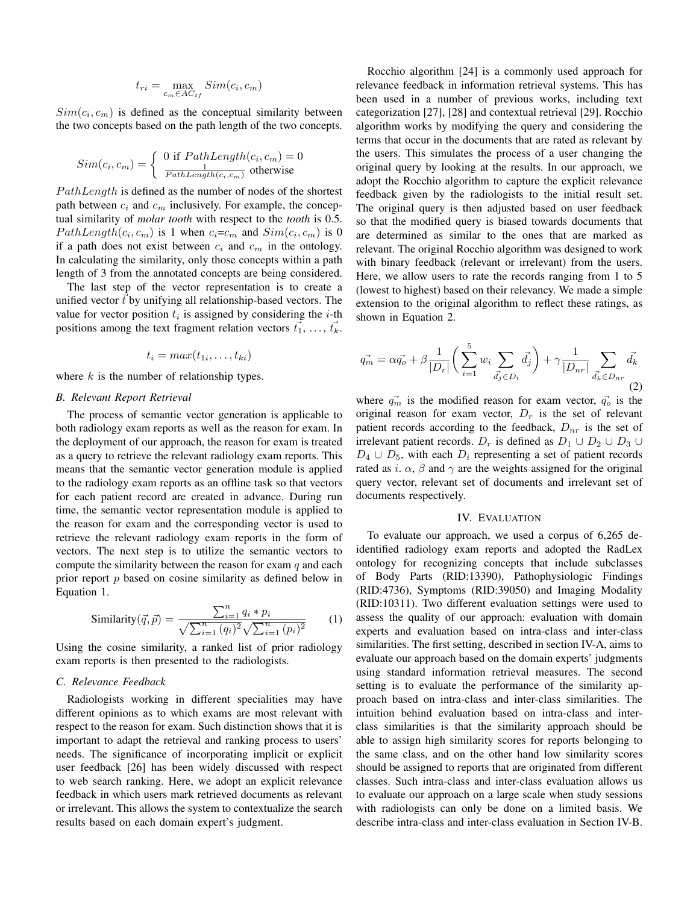$$
t_{ri} = \max_{c_m \in AC_{tf}} Sim(c_i, c_m)
$$

 $Sim(c_i, c_m)$  is defined as the conceptual similarity between the two concepts based on the path length of the two concepts.

$$
Sim(c_i, c_m) = \begin{cases} 0 \text{ if } PathLength(c_i, c_m) = 0\\ \frac{1}{PathLength(c_i, c_m)} \text{ otherwise} \end{cases}
$$

 $PathLength$  is defined as the number of nodes of the shortest path between  $c_i$  and  $c_m$  inclusively. For example, the conceptual similarity of *molar tooth* with respect to the *tooth* is 0.5.  $PathLength(c_i, c_m)$  is 1 when  $c_i = c_m$  and  $Sim(c_i, c_m)$  is 0 if a path does not exist between  $c_i$  and  $c_m$  in the ontology. In calculating the similarity, only those concepts within a path length of 3 from the annotated concepts are being considered.

The last step of the vector representation is to create a unified vector  $\vec{t}$  by unifying all relationship-based vectors. The value for vector position  $t_i$  is assigned by considering the *i*-th positions among the text fragment relation vectors  $t_1, \ldots, t_k$ .

$$
t_i = max(t_{1i}, \ldots, t_{ki})
$$

where  $k$  is the number of relationship types.

#### *B. Relevant Report Retrieval*

The process of semantic vector generation is applicable to both radiology exam reports as well as the reason for exam. In the deployment of our approach, the reason for exam is treated as a query to retrieve the relevant radiology exam reports. This means that the semantic vector generation module is applied to the radiology exam reports as an offline task so that vectors for each patient record are created in advance. During run time, the semantic vector representation module is applied to the reason for exam and the corresponding vector is used to retrieve the relevant radiology exam reports in the form of vectors. The next step is to utilize the semantic vectors to compute the similarity between the reason for exam  $q$  and each prior report p based on cosine similarity as defined below in Equation 1.

Similarly 
$$
(\vec{q}, \vec{p}) = \frac{\sum_{i=1}^{n} q_i * p_i}{\sqrt{\sum_{i=1}^{n} (q_i)^2} \sqrt{\sum_{i=1}^{n} (p_i)^2}}
$$
 (1)

Using the cosine similarity, a ranked list of prior radiology exam reports is then presented to the radiologists.

#### *C. Relevance Feedback*

Radiologists working in different specialities may have different opinions as to which exams are most relevant with respect to the reason for exam. Such distinction shows that it is important to adapt the retrieval and ranking process to users' needs. The significance of incorporating implicit or explicit user feedback [26] has been widely discussed with respect to web search ranking. Here, we adopt an explicit relevance feedback in which users mark retrieved documents as relevant or irrelevant. This allows the system to contextualize the search results based on each domain expert's judgment.

Rocchio algorithm [24] is a commonly used approach for relevance feedback in information retrieval systems. This has been used in a number of previous works, including text categorization [27], [28] and contextual retrieval [29]. Rocchio algorithm works by modifying the query and considering the terms that occur in the documents that are rated as relevant by the users. This simulates the process of a user changing the original query by looking at the results. In our approach, we adopt the Rocchio algorithm to capture the explicit relevance feedback given by the radiologists to the initial result set. The original query is then adjusted based on user feedback so that the modified query is biased towards documents that are determined as similar to the ones that are marked as relevant. The original Rocchio algorithm was designed to work with binary feedback (relevant or irrelevant) from the users. Here, we allow users to rate the records ranging from 1 to 5 (lowest to highest) based on their relevancy. We made a simple extension to the original algorithm to reflect these ratings, as shown in Equation 2.

$$
\vec{q_m} = \alpha \vec{q_o} + \beta \frac{1}{|D_r|} \left( \sum_{i=1}^5 w_i \sum_{\vec{d_j} \in D_i} \vec{d_j} \right) + \gamma \frac{1}{|D_{nr}|} \sum_{\vec{d_k} \in D_{nr}} \vec{d_k}
$$
\n(2)

where  $q_m$  is the modified reason for exam vector,  $q_o$  is the original reason for exam vector,  $D<sub>r</sub>$  is the set of relevant patient records according to the feedback,  $D_{nr}$  is the set of irrelevant patient records.  $D_r$  is defined as  $D_1 \cup D_2 \cup D_3 \cup D_4$  $D_4 \cup D_5$ , with each  $D_i$  representing a set of patient records rated as i.  $\alpha$ ,  $\beta$  and  $\gamma$  are the weights assigned for the original query vector, relevant set of documents and irrelevant set of documents respectively.

#### IV. EVALUATION

To evaluate our approach, we used a corpus of 6,265 deidentified radiology exam reports and adopted the RadLex ontology for recognizing concepts that include subclasses of Body Parts (RID:13390), Pathophysiologic Findings (RID:4736), Symptoms (RID:39050) and Imaging Modality (RID:10311). Two different evaluation settings were used to assess the quality of our approach: evaluation with domain experts and evaluation based on intra-class and inter-class similarities. The first setting, described in section IV-A, aims to evaluate our approach based on the domain experts' judgments using standard information retrieval measures. The second setting is to evaluate the performance of the similarity approach based on intra-class and inter-class similarities. The intuition behind evaluation based on intra-class and interclass similarities is that the similarity approach should be able to assign high similarity scores for reports belonging to the same class, and on the other hand low similarity scores should be assigned to reports that are originated from different classes. Such intra-class and inter-class evaluation allows us to evaluate our approach on a large scale when study sessions with radiologists can only be done on a limited basis. We describe intra-class and inter-class evaluation in Section IV-B.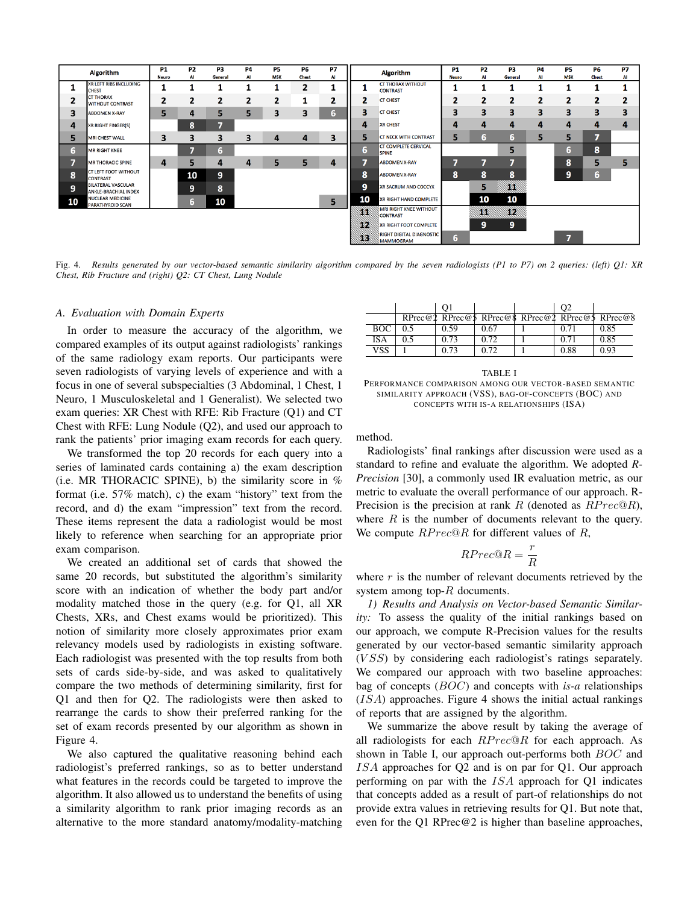|    | <b>Algorithm</b>                                         | <b>P1</b>    | P <sub>2</sub> | P3           | <b>P4</b> | <b>P5</b>  | <b>P6</b>      | <b>P7</b> |     |                                                     | <b>P1</b> | P <sub>2</sub>          | P3      | <b>P4</b> | <b>P5</b>  | <b>P6</b>    | <b>P7</b> |
|----|----------------------------------------------------------|--------------|----------------|--------------|-----------|------------|----------------|-----------|-----|-----------------------------------------------------|-----------|-------------------------|---------|-----------|------------|--------------|-----------|
|    |                                                          | <b>Neuro</b> | AI             | General      | AI        | <b>MSK</b> | <b>Chest</b>   | AI        |     | <b>Algorithm</b>                                    |           | AI                      | General | AI        | <b>MSK</b> | <b>Chest</b> | AI        |
|    | <b>XR LEFT RIBS INCLUDING</b><br><b>CHEST</b>            | 1            |                |              | 1         | 1          | $\overline{2}$ |           |     | <b>CT THORAX WITHOUT</b><br><b>CONTRAST</b>         |           |                         |         | a         | 1          |              |           |
|    | <b>CT THORAX</b><br><b>WITHOUT CONTRAST</b>              | 2            | י              | $\mathbf{2}$ | 2         | 2          | 1              | 2         |     | <b>CT CHEST</b>                                     | 7         | 2                       | 2       | 2         | 2          | 2            | 2         |
| з  | <b>ABDOMEN X-RAY</b>                                     | 5            | 4              | 5            | 5         | 3          | 3              | 6         | 3   | <b>CT CHEST</b>                                     | 3         | $\overline{\mathbf{3}}$ | 3       | 3         | 3          | 3            |           |
| 4  | <b>XR RIGHT FINGER(S)</b>                                |              | 8              | 57           |           |            |                |           | 4   | <b>XR CHEST</b>                                     | 4         | 4                       | 4       | 4         | 4          | 4            | 4         |
| 5  | MRI CHEST WALL                                           | 3            | з              | 3            | 3         | 4          | 4              | 3         | 5   | <b>CT NECK WITH CONTRAST</b>                        | 5         | 6                       | 6       | 5         | 5          | 7            |           |
| ត  | <b>MR RIGHT KNEE</b>                                     |              | 57             | 6            |           |            |                |           | ٠   | <b>CT COMPLETE CERVICAL</b><br><b>SPINE</b>         |           |                         | 5       |           | 6          | 8            |           |
| 51 | <b>MR THORACIC SPINE</b>                                 | 4            | 5              | 4            | 4         | 5          | 5              | 4         | с   | <b>ABDOMEN X-RAY</b>                                | 5         | 5                       | 7       |           | 8          |              |           |
| 8  | CT LEFT FOOT WITHOUT<br><b>CONTRAST</b>                  |              | 10             | 9            |           |            |                |           | 8   | <b>ABDOMEN X-RAY</b>                                | 8         | 8                       | 8       |           | 9          | 6.           |           |
| 9  | <b>BILATERAL VASCULAR</b><br><b>ANKLE-BRACHIAL INDEX</b> |              | 9              | 8            |           |            |                |           | 9   | <b>XR SACRUM AND COCCYX</b>                         |           | 5                       | W       |           |            |              |           |
| 10 | <b>NUCLEAR MEDICINE</b><br>PARATHYROID SCAN              |              | G.             | 10           |           |            |                | 5         | 10  | <b>XR RIGHT HAND COMPLETE</b>                       |           | 10                      | 10      |           |            |              |           |
|    |                                                          |              |                |              |           |            |                |           | 33  | MRI RIGHT KNEE WITHOUT<br><b>CONTRAST</b>           |           | 33                      | W.      |           |            |              |           |
|    |                                                          |              |                |              |           |            |                |           | 352 | <b>XR RIGHT FOOT COMPLETE</b>                       |           | 9                       | 9       |           |            |              |           |
|    |                                                          |              |                |              |           |            |                |           | 33  | <b>RIGHT DIGITAL DIAGNOSTIC</b><br><b>MAMMOGRAM</b> | 6.        |                         |         |           | 7          |              |           |

Fig. 4. *Results generated by our vector-based semantic similarity algorithm compared by the seven radiologists (P1 to P7) on 2 queries: (left) Q1: XR Chest, Rib Fracture and (right) Q2: CT Chest, Lung Nodule*

#### *A. Evaluation with Domain Experts*

In order to measure the accuracy of the algorithm, we compared examples of its output against radiologists' rankings of the same radiology exam reports. Our participants were seven radiologists of varying levels of experience and with a focus in one of several subspecialties (3 Abdominal, 1 Chest, 1 Neuro, 1 Musculoskeletal and 1 Generalist). We selected two exam queries: XR Chest with RFE: Rib Fracture (Q1) and CT Chest with RFE: Lung Nodule (Q2), and used our approach to rank the patients' prior imaging exam records for each query.

We transformed the top 20 records for each query into a series of laminated cards containing a) the exam description (i.e. MR THORACIC SPINE), b) the similarity score in  $%$ format (i.e. 57% match), c) the exam "history" text from the record, and d) the exam "impression" text from the record. These items represent the data a radiologist would be most likely to reference when searching for an appropriate prior exam comparison.

We created an additional set of cards that showed the same 20 records, but substituted the algorithm's similarity score with an indication of whether the body part and/or modality matched those in the query (e.g. for Q1, all XR Chests, XRs, and Chest exams would be prioritized). This notion of similarity more closely approximates prior exam relevancy models used by radiologists in existing software. Each radiologist was presented with the top results from both sets of cards side-by-side, and was asked to qualitatively compare the two methods of determining similarity, first for Q1 and then for Q2. The radiologists were then asked to rearrange the cards to show their preferred ranking for the set of exam records presented by our algorithm as shown in Figure 4.

We also captured the qualitative reasoning behind each radiologist's preferred rankings, so as to better understand what features in the records could be targeted to improve the algorithm. It also allowed us to understand the benefits of using a similarity algorithm to rank prior imaging records as an alternative to the more standard anatomy/modality-matching

|                  |     |                                                 |      | O2   |      |
|------------------|-----|-------------------------------------------------|------|------|------|
|                  |     | RPrec@2 RPrec@5 RPrec@8 RPrec@2 RPrec@5 RPrec@8 |      |      |      |
| <b>BOC</b>       | 0.5 | 0.59                                            | 0.67 | 0.71 | 0.85 |
| ISA              | ი 5 | 0.73                                            | 0.72 | 0.71 | 0.85 |
| VSS <sup>1</sup> |     | 0.73                                            | 0.72 | 0.88 | 0.93 |

TABLE I PERFORMANCE COMPARISON AMONG OUR VECTOR-BASED SEMANTIC SIMILARITY APPROACH (VSS), BAG-OF-CONCEPTS (BOC) AND CONCEPTS WITH IS-A RELATIONSHIPS (ISA)

method.

Radiologists' final rankings after discussion were used as a standard to refine and evaluate the algorithm. We adopted *R-Precision* [30], a commonly used IR evaluation metric, as our metric to evaluate the overall performance of our approach. R-Precision is the precision at rank R (denoted as  $RPrec@R$ ), where  $R$  is the number of documents relevant to the query. We compute  $RPrec@R$  for different values of R,

$$
RPrec@R = \frac{r}{R}
$$

where  $r$  is the number of relevant documents retrieved by the system among top- $R$  documents.

*1) Results and Analysis on Vector-based Semantic Similarity:* To assess the quality of the initial rankings based on our approach, we compute R-Precision values for the results generated by our vector-based semantic similarity approach  $(VSS)$  by considering each radiologist's ratings separately. We compared our approach with two baseline approaches: bag of concepts (BOC) and concepts with *is-a* relationships  $(ISA)$  approaches. Figure 4 shows the initial actual rankings of reports that are assigned by the algorithm.

We summarize the above result by taking the average of all radiologists for each  $RPrec@R$  for each approach. As shown in Table I, our approach out-performs both BOC and ISA approaches for Q2 and is on par for Q1. Our approach performing on par with the ISA approach for Q1 indicates that concepts added as a result of part-of relationships do not provide extra values in retrieving results for Q1. But note that, even for the Q1 RPrec@2 is higher than baseline approaches,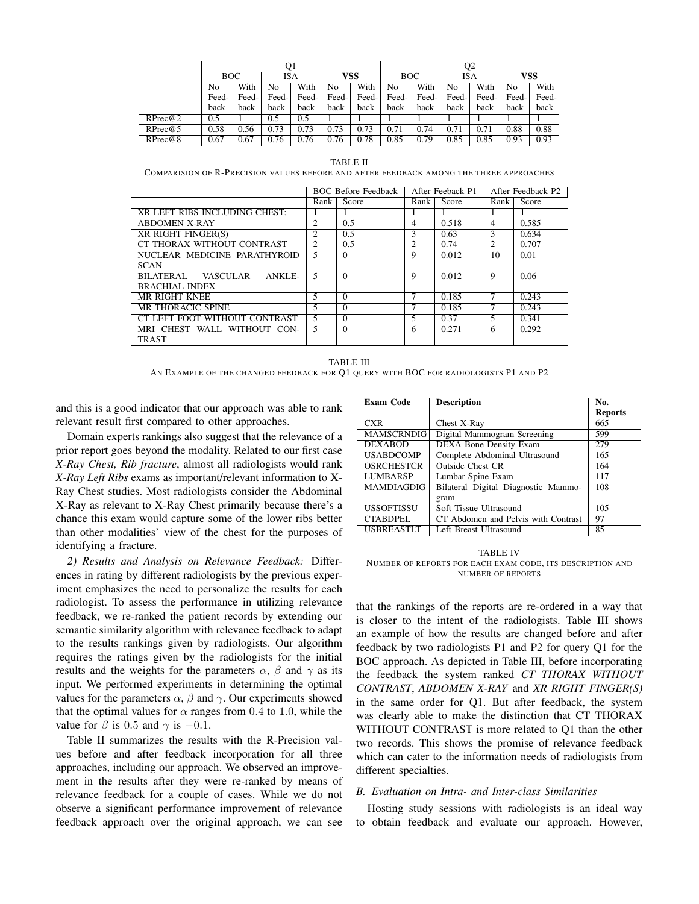|         |            |       | Ol         |       |       | O2    |            |       |            |       |       |       |
|---------|------------|-------|------------|-------|-------|-------|------------|-------|------------|-------|-------|-------|
|         | <b>BOC</b> |       | <b>ISA</b> |       | VSS   |       | <b>BOC</b> |       | <b>ISA</b> |       | VSS   |       |
|         | No         | With  | No         | With  | No    | With  | No         | With  | No         | With  | No    | With  |
|         | Feed-      | Feed- | Feed-      | Feed- | Feed- | Feed- | Feed-      | Feed- | Feed-      | Feed- | Feed- | Feed- |
|         | back       | back  | back       | back  | back  | back  | back       | back  | back       | back  | back  | back  |
| RPrec@2 | 0.5        |       | 0.5        | 0.5   |       |       |            |       |            |       |       |       |
| RPrec@5 | 0.58       | 0.56  | 0.73       | 0.73  | 0.73  | 0.73  | 0.71       | 0.74  | 0.71       | 0.71  | 0.88  | 0.88  |
| RPrec@8 | 0.67       | 0.67  | 0.76       | 0.76  | 0.76  | 0.78  | 0.85       | 0.79  | 0.85       | 0.85  | 0.93  | 0.93  |

TABLE II COMPARISION OF R-PRECISION VALUES BEFORE AND AFTER FEEDBACK AMONG THE THREE APPROACHES

|                                        |                | <b>BOC Before Feedback</b> |      | After Feeback P1 | After Feedback P2 |       |  |
|----------------------------------------|----------------|----------------------------|------|------------------|-------------------|-------|--|
|                                        | Rank           | Score                      | Rank | Score            | Rank              | Score |  |
| XR LEFT RIBS INCLUDING CHEST:          |                |                            |      |                  |                   |       |  |
| <b>ABDOMEN X-RAY</b>                   | 2              | 0.5                        | 4    | 0.518            | 4                 | 0.585 |  |
| XR RIGHT FINGER(S)                     | $\mathfrak{D}$ | 0.5                        | 3    | 0.63             | 3                 | 0.634 |  |
| CT THORAX WITHOUT CONTRAST             | $\mathfrak{D}$ | 0.5                        | 2    | 0.74             | $\mathfrak{D}$    | 0.707 |  |
| NUCLEAR MEDICINE PARATHYROID           | 5              | $\Omega$                   | 9    | 0.012            | 10                | 0.01  |  |
| <b>SCAN</b>                            |                |                            |      |                  |                   |       |  |
| <b>VASCULAR</b><br>ANKLE-<br>BILATERAL | 5              | $\Omega$                   | 9    | 0.012            | 9                 | 0.06  |  |
| <b>BRACHIAL INDEX</b>                  |                |                            |      |                  |                   |       |  |
| MR RIGHT KNEE                          | 5              | $\Omega$                   |      | 0.185            |                   | 0.243 |  |
| MR THORACIC SPINE                      | 5              | $\Omega$                   |      | 0.185            |                   | 0.243 |  |
| CT LEFT FOOT WITHOUT CONTRAST          |                | $\theta$                   | 5    | 0.37             | 5                 | 0.341 |  |
| MRI CHEST WALL WITHOUT CON-            | 5              | $\Omega$                   | 6    | 0.271            | 6                 | 0.292 |  |
| <b>TRAST</b>                           |                |                            |      |                  |                   |       |  |

TABLE III

AN EXAMPLE OF THE CHANGED FEEDBACK FOR Q1 QUERY WITH BOC FOR RADIOLOGISTS P1 AND P2

and this is a good indicator that our approach was able to rank relevant result first compared to other approaches.

Domain experts rankings also suggest that the relevance of a prior report goes beyond the modality. Related to our first case *X-Ray Chest, Rib fracture*, almost all radiologists would rank *X-Ray Left Ribs* exams as important/relevant information to X-Ray Chest studies. Most radiologists consider the Abdominal X-Ray as relevant to X-Ray Chest primarily because there's a chance this exam would capture some of the lower ribs better than other modalities' view of the chest for the purposes of identifying a fracture.

*2) Results and Analysis on Relevance Feedback:* Differences in rating by different radiologists by the previous experiment emphasizes the need to personalize the results for each radiologist. To assess the performance in utilizing relevance feedback, we re-ranked the patient records by extending our semantic similarity algorithm with relevance feedback to adapt to the results rankings given by radiologists. Our algorithm requires the ratings given by the radiologists for the initial results and the weights for the parameters  $\alpha$ ,  $\beta$  and  $\gamma$  as its input. We performed experiments in determining the optimal values for the parameters  $\alpha$ ,  $\beta$  and  $\gamma$ . Our experiments showed that the optimal values for  $\alpha$  ranges from 0.4 to 1.0, while the value for  $\beta$  is 0.5 and  $\gamma$  is  $-0.1$ .

Table II summarizes the results with the R-Precision values before and after feedback incorporation for all three approaches, including our approach. We observed an improvement in the results after they were re-ranked by means of relevance feedback for a couple of cases. While we do not observe a significant performance improvement of relevance feedback approach over the original approach, we can see

| <b>Exam Code</b>  | <b>Description</b>                  | No.            |  |  |
|-------------------|-------------------------------------|----------------|--|--|
|                   |                                     | <b>Reports</b> |  |  |
| <b>CXR</b>        | Chest X-Ray                         | 665            |  |  |
| <b>MAMSCRNDIG</b> | Digital Mammogram Screening         | 599            |  |  |
| <b>DEXABOD</b>    | <b>DEXA Bone Density Exam</b>       | 279            |  |  |
| <b>USABDCOMP</b>  | Complete Abdominal Ultrasound       | 165            |  |  |
| <b>OSRCHESTCR</b> | <b>Outside Chest CR</b>             | 164            |  |  |
| <b>LUMBARSP</b>   | Lumbar Spine Exam                   | 117            |  |  |
| MAMDIAGDIG        | Bilateral Digital Diagnostic Mammo- | 108            |  |  |
|                   | gram                                |                |  |  |
| <b>USSOFTISSU</b> | Soft Tissue Ultrasound              | 105            |  |  |
| <b>CTABDPEL</b>   | CT Abdomen and Pelvis with Contrast | 97             |  |  |
| <b>USBREASTLT</b> | Left Breast Ultrasound              | 85             |  |  |

TABLE IV NUMBER OF REPORTS FOR EACH EXAM CODE, ITS DESCRIPTION AND NUMBER OF REPORTS

that the rankings of the reports are re-ordered in a way that is closer to the intent of the radiologists. Table III shows an example of how the results are changed before and after feedback by two radiologists P1 and P2 for query Q1 for the BOC approach. As depicted in Table III, before incorporating the feedback the system ranked *CT THORAX WITHOUT CONTRAST*, *ABDOMEN X-RAY* and *XR RIGHT FINGER(S)* in the same order for Q1. But after feedback, the system was clearly able to make the distinction that CT THORAX WITHOUT CONTRAST is more related to Q1 than the other two records. This shows the promise of relevance feedback which can cater to the information needs of radiologists from different specialties.

#### *B. Evaluation on Intra- and Inter-class Similarities*

Hosting study sessions with radiologists is an ideal way to obtain feedback and evaluate our approach. However,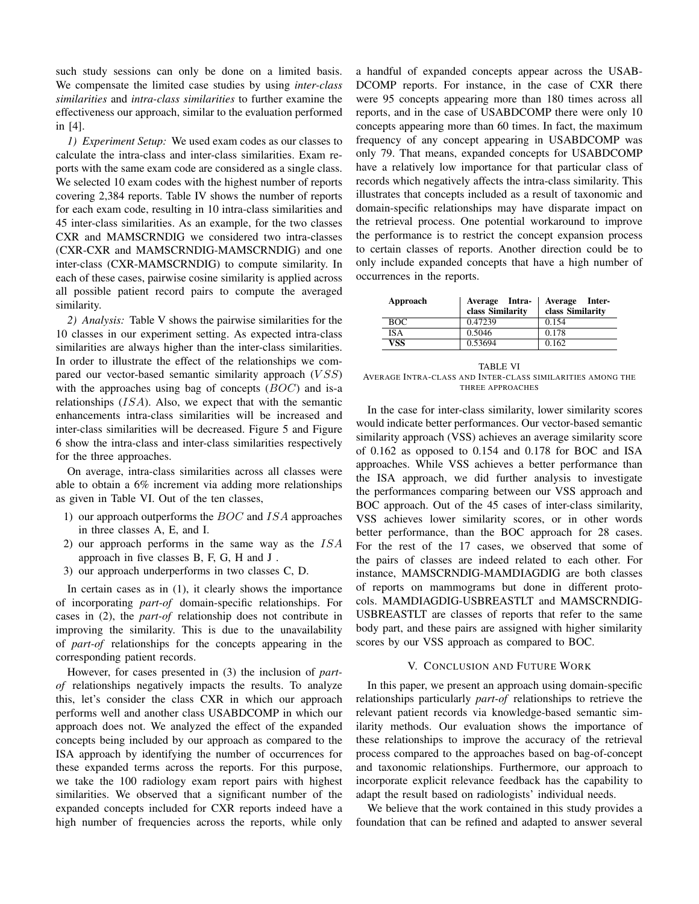such study sessions can only be done on a limited basis. We compensate the limited case studies by using *inter-class similarities* and *intra-class similarities* to further examine the effectiveness our approach, similar to the evaluation performed in [4].

*1) Experiment Setup:* We used exam codes as our classes to calculate the intra-class and inter-class similarities. Exam reports with the same exam code are considered as a single class. We selected 10 exam codes with the highest number of reports covering 2,384 reports. Table IV shows the number of reports for each exam code, resulting in 10 intra-class similarities and 45 inter-class similarities. As an example, for the two classes CXR and MAMSCRNDIG we considered two intra-classes (CXR-CXR and MAMSCRNDIG-MAMSCRNDIG) and one inter-class (CXR-MAMSCRNDIG) to compute similarity. In each of these cases, pairwise cosine similarity is applied across all possible patient record pairs to compute the averaged similarity.

*2) Analysis:* Table V shows the pairwise similarities for the 10 classes in our experiment setting. As expected intra-class similarities are always higher than the inter-class similarities. In order to illustrate the effect of the relationships we compared our vector-based semantic similarity approach  $(VSS)$ with the approaches using bag of concepts  $(BOC)$  and is-a relationships  $(ISA)$ . Also, we expect that with the semantic enhancements intra-class similarities will be increased and inter-class similarities will be decreased. Figure 5 and Figure 6 show the intra-class and inter-class similarities respectively for the three approaches.

On average, intra-class similarities across all classes were able to obtain a 6% increment via adding more relationships as given in Table VI. Out of the ten classes,

- 1) our approach outperforms the  $BOC$  and  $ISA$  approaches in three classes A, E, and I.
- 2) our approach performs in the same way as the  $ISA$ approach in five classes B, F, G, H and J .
- 3) our approach underperforms in two classes C, D.

In certain cases as in (1), it clearly shows the importance of incorporating *part-of* domain-specific relationships. For cases in (2), the *part-of* relationship does not contribute in improving the similarity. This is due to the unavailability of *part-of* relationships for the concepts appearing in the corresponding patient records.

However, for cases presented in (3) the inclusion of *partof* relationships negatively impacts the results. To analyze this, let's consider the class CXR in which our approach performs well and another class USABDCOMP in which our approach does not. We analyzed the effect of the expanded concepts being included by our approach as compared to the ISA approach by identifying the number of occurrences for these expanded terms across the reports. For this purpose, we take the 100 radiology exam report pairs with highest similarities. We observed that a significant number of the expanded concepts included for CXR reports indeed have a high number of frequencies across the reports, while only a handful of expanded concepts appear across the USAB-DCOMP reports. For instance, in the case of CXR there were 95 concepts appearing more than 180 times across all reports, and in the case of USABDCOMP there were only 10 concepts appearing more than 60 times. In fact, the maximum frequency of any concept appearing in USABDCOMP was only 79. That means, expanded concepts for USABDCOMP have a relatively low importance for that particular class of records which negatively affects the intra-class similarity. This illustrates that concepts included as a result of taxonomic and domain-specific relationships may have disparate impact on the retrieval process. One potential workaround to improve the performance is to restrict the concept expansion process to certain classes of reports. Another direction could be to only include expanded concepts that have a high number of occurrences in the reports.

| Approach   | Average Intra-<br>class Similarity | Average Inter-<br>class Similarity |
|------------|------------------------------------|------------------------------------|
| BOC.       | 0.47239                            | 0.154                              |
| <b>ISA</b> | 0.5046                             | 0.178                              |
| VSS        | 0.53694                            | 0.162                              |

TABLE VI AVERAGE INTRA-CLASS AND INTER-CLASS SIMILARITIES AMONG THE THREE APPROACHES

In the case for inter-class similarity, lower similarity scores would indicate better performances. Our vector-based semantic similarity approach (VSS) achieves an average similarity score of 0.162 as opposed to 0.154 and 0.178 for BOC and ISA approaches. While VSS achieves a better performance than the ISA approach, we did further analysis to investigate the performances comparing between our VSS approach and BOC approach. Out of the 45 cases of inter-class similarity, VSS achieves lower similarity scores, or in other words better performance, than the BOC approach for 28 cases. For the rest of the 17 cases, we observed that some of the pairs of classes are indeed related to each other. For instance, MAMSCRNDIG-MAMDIAGDIG are both classes of reports on mammograms but done in different protocols. MAMDIAGDIG-USBREASTLT and MAMSCRNDIG-USBREASTLT are classes of reports that refer to the same body part, and these pairs are assigned with higher similarity scores by our VSS approach as compared to BOC.

#### V. CONCLUSION AND FUTURE WORK

In this paper, we present an approach using domain-specific relationships particularly *part-of* relationships to retrieve the relevant patient records via knowledge-based semantic similarity methods. Our evaluation shows the importance of these relationships to improve the accuracy of the retrieval process compared to the approaches based on bag-of-concept and taxonomic relationships. Furthermore, our approach to incorporate explicit relevance feedback has the capability to adapt the result based on radiologists' individual needs.

We believe that the work contained in this study provides a foundation that can be refined and adapted to answer several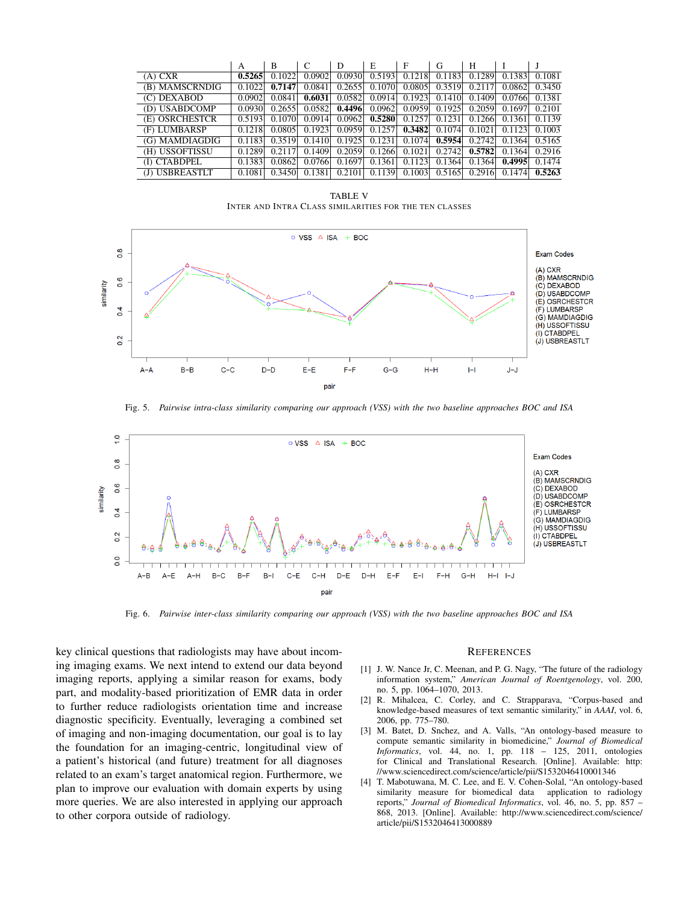|                | A      | B      | C      | D      | E      | F      | G      | Н      |        |        |
|----------------|--------|--------|--------|--------|--------|--------|--------|--------|--------|--------|
| (A) CXR        | 0.5265 | 0.1022 | 0.0902 | 0.0930 | 0.5193 | 0.1218 | 0.1183 | 0.1289 | 0.1383 | 0.1081 |
| (B) MAMSCRNDIG | 0.1022 | 0.7147 | 0.0841 | 0.2655 | 0.1070 | 0.0805 | 0.3519 | 0.2117 | 0.0862 | 0.3450 |
| (C) DEXABOD    | 0.0902 | 0.0841 | 0.6031 | 0.0582 | 0.0914 | 0.1923 | 0.1410 | 0.1409 | 0.0766 | 0.1381 |
| (D) USABDCOMP  | 0.0930 | 0.2655 | 0.0582 | 0.4496 | 0.0962 | 0.0959 | 0.1925 | 0.2059 | 0.1697 | 0.2101 |
| (E) OSRCHESTCR | 0.5193 | 0.1070 | 0.0914 | 0.0962 | 0.5280 | 0.1257 | 0.1231 | 0.1266 | 0.1361 | 0.1139 |
| (F) LUMBARSP   | 0.1218 | 0.0805 | 0.1923 | 0.0959 | 0.1257 | 0.3482 | 0.1074 | 0.1021 | 0.1123 | 0.1003 |
| (G) MAMDIAGDIG | 0.1183 | 0.3519 | 0.1410 | 0.1925 | 0.1231 | 0.1074 | 0.5954 | 0.2742 | 0.1364 | 0.5165 |
| (H) USSOFTISSU | 0.1289 | 0.2117 | 0.1409 | 0.2059 | 0.1266 | 0.1021 | 0.2742 | 0.5782 | 0.1364 | 0.2916 |
| (I) CTABDPEL   | 0.1383 | 0.0862 | 0.0766 | 0.1697 | 0.1361 | 0.1123 | 0.1364 | 0.1364 | 0.4995 | 0.1474 |
| (J) USBREASTLT | 0.1081 | 0.3450 | 0.1381 | 0.2101 | 0.1139 | 0.1003 | 0.5165 | 0.2916 | 0.1474 | 0.5263 |

TABLE V INTER AND INTRA CLASS SIMILARITIES FOR THE TEN CLASSES



Fig. 5. *Pairwise intra-class similarity comparing our approach (VSS) with the two baseline approaches BOC and ISA*



Fig. 6. *Pairwise inter-class similarity comparing our approach (VSS) with the two baseline approaches BOC and ISA*

key clinical questions that radiologists may have about incoming imaging exams. We next intend to extend our data beyond imaging reports, applying a similar reason for exams, body part, and modality-based prioritization of EMR data in order to further reduce radiologists orientation time and increase diagnostic specificity. Eventually, leveraging a combined set of imaging and non-imaging documentation, our goal is to lay the foundation for an imaging-centric, longitudinal view of a patient's historical (and future) treatment for all diagnoses related to an exam's target anatomical region. Furthermore, we plan to improve our evaluation with domain experts by using more queries. We are also interested in applying our approach to other corpora outside of radiology.

#### **REFERENCES**

- [1] J. W. Nance Jr, C. Meenan, and P. G. Nagy, "The future of the radiology information system," *American Journal of Roentgenology*, vol. 200, no. 5, pp. 1064–1070, 2013.
- [2] R. Mihalcea, C. Corley, and C. Strapparava, "Corpus-based and knowledge-based measures of text semantic similarity," in *AAAI*, vol. 6, 2006, pp. 775–780.
- [3] M. Batet, D. Snchez, and A. Valls, "An ontology-based measure to compute semantic similarity in biomedicine," *Journal of Biomedical Informatics*, vol. 44, no. 1, pp. 118 – 125, 2011, ontologies for Clinical and Translational Research. [Online]. Available: http: //www.sciencedirect.com/science/article/pii/S1532046410001346
- [4] T. Mabotuwana, M. C. Lee, and E. V. Cohen-Solal, "An ontology-based similarity measure for biomedical data application to radiology reports," *Journal of Biomedical Informatics*, vol. 46, no. 5, pp. 857 – 868, 2013. [Online]. Available: http://www.sciencedirect.com/science/ article/pii/S1532046413000889